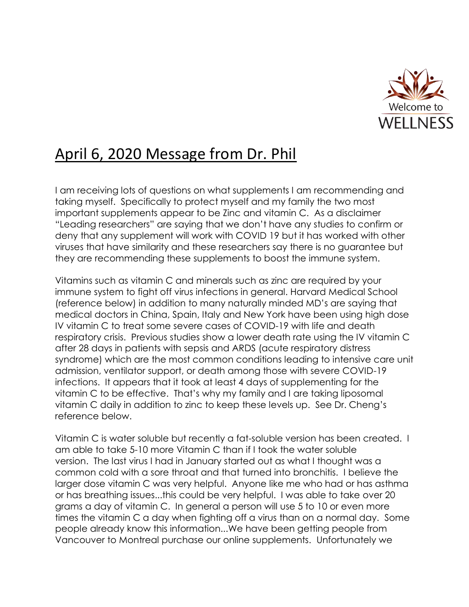

## April 6, 2020 Message from Dr. Phil

I am receiving lots of questions on what supplements I am recommending and taking myself. Specifically to protect myself and my family the two most important supplements appear to be Zinc and vitamin C. As a disclaimer "Leading researchers" are saying that we don't have any studies to confirm or deny that any supplement will work with COVID 19 but it has worked with other viruses that have similarity and these researchers say there is no guarantee but they are recommending these supplements to boost the immune system.

Vitamins such as vitamin C and minerals such as zinc are required by your immune system to fight off virus infections in general. Harvard Medical School (reference below) in addition to many naturally minded MD's are saying that medical doctors in China, Spain, Italy and New York have been using high dose IV vitamin C to treat some severe cases of COVID-19 with life and death respiratory crisis. Previous studies show a lower death rate using the IV vitamin C after 28 days in patients with sepsis and ARDS (acute respiratory distress syndrome) which are the most common conditions leading to intensive care unit admission, ventilator support, or death among those with severe COVID-19 infections. It appears that it took at least 4 days of supplementing for the vitamin C to be effective. That's why my family and I are taking liposomal vitamin C daily in addition to zinc to keep these levels up. See Dr. Cheng's reference below.

Vitamin C is water soluble but recently a fat-soluble version has been created. I am able to take 5-10 more Vitamin C than if I took the water soluble version. The last virus I had in January started out as what I thought was a common cold with a sore throat and that turned into bronchitis. I believe the larger dose vitamin C was very helpful. Anyone like me who had or has asthma or has breathing issues...this could be very helpful. I was able to take over 20 grams a day of vitamin C. In general a person will use 5 to 10 or even more times the vitamin C a day when fighting off a virus than on a normal day. Some people already know this information...We have been getting people from Vancouver to Montreal purchase our online supplements. Unfortunately we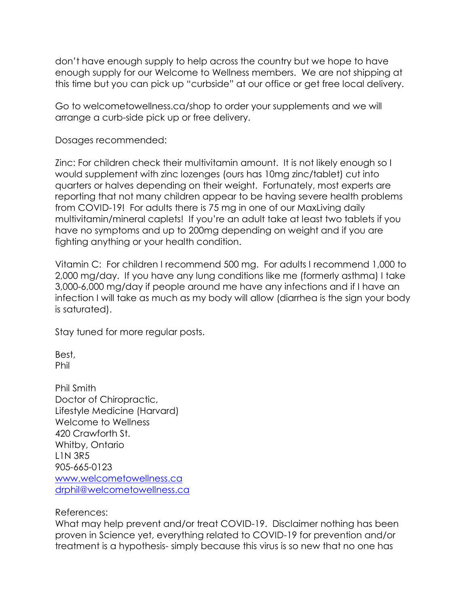don't have enough supply to help across the country but we hope to have enough supply for our Welcome to Wellness members. We are not shipping at this time but you can pick up "curbside" at our office or get free local delivery.

Go to welcometowellness.ca/shop to order your supplements and we will arrange a curb-side pick up or free delivery.

Dosages recommended:

Zinc: For children check their multivitamin amount. It is not likely enough so I would supplement with zinc lozenges (ours has 10mg zinc/tablet) cut into quarters or halves depending on their weight. Fortunately, most experts are reporting that not many children appear to be having severe health problems from COVID-19! For adults there is 75 mg in one of our MaxLiving daily multivitamin/mineral caplets! If you're an adult take at least two tablets if you have no symptoms and up to 200mg depending on weight and if you are fighting anything or your health condition.

Vitamin C: For children I recommend 500 mg. For adults I recommend 1,000 to 2,000 mg/day. If you have any lung conditions like me (formerly asthma) I take 3,000-6,000 mg/day if people around me have any infections and if I have an infection I will take as much as my body will allow (diarrhea is the sign your body is saturated).

Stay tuned for more regular posts.

Best, Phil

Phil Smith Doctor of Chiropractic, Lifestyle Medicine (Harvard) Welcome to Wellness 420 Crawforth St. Whitby, Ontario L1N 3R5 905-665-0123 [www.welcometowellness.ca](http://www.welcometowellness.ca/) [drphil@welcometowellness.ca](mailto:drphil@welcometowellness.ca)

References:

What may help prevent and/or treat COVID-19. Disclaimer nothing has been proven in Science yet, everything related to COVID-19 for prevention and/or treatment is a hypothesis- simply because this virus is so new that no one has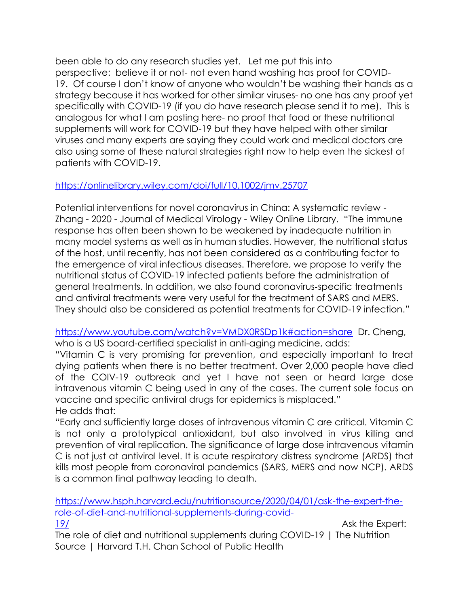been able to do any research studies yet. Let me put this into perspective: believe it or not- not even hand washing has proof for COVID-19. Of course I don't know of anyone who wouldn't be washing their hands as a strategy because it has worked for other similar viruses- no one has any proof yet specifically with COVID-19 (if you do have research please send it to me). This is analogous for what I am posting here- no proof that food or these nutritional supplements will work for COVID-19 but they have helped with other similar viruses and many experts are saying they could work and medical doctors are also using some of these natural strategies right now to help even the sickest of patients with COVID-19.

## <https://onlinelibrary.wiley.com/doi/full/10.1002/jmv.25707>

Potential interventions for novel coronavirus in China: A systematic review - Zhang - 2020 - Journal of Medical Virology - Wiley Online Library. "The immune response has often been shown to be weakened by inadequate nutrition in many model systems as well as in human studies. However, the nutritional status of the host, until recently, has not been considered as a contributing factor to the emergence of viral infectious diseases. Therefore, we propose to verify the nutritional status of COVID‐19 infected patients before the administration of general treatments. In addition, we also found coronavirus‐specific treatments and antiviral treatments were very useful for the treatment of SARS and MERS. They should also be considered as potential treatments for COVID‐19 infection."

<https://www.youtube.com/watch?v=VMDX0RSDp1k#action=share> Dr. Cheng, who is a US board-certified specialist in anti-aging medicine, adds:

"Vitamin C is very promising for prevention, and especially important to treat dying patients when there is no better treatment. Over 2,000 people have died of the COIV-19 outbreak and yet I have not seen or heard large dose intravenous vitamin C being used in any of the cases. The current sole focus on vaccine and specific antiviral drugs for epidemics is misplaced." He adds that:

"Early and sufficiently large doses of intravenous vitamin C are critical. Vitamin C is not only a prototypical antioxidant, but also involved in virus killing and prevention of viral replication. The significance of large dose intravenous vitamin C is not just at antiviral level. It is acute respiratory distress syndrome (ARDS) that kills most people from coronaviral pandemics (SARS, MERS and now NCP). ARDS is a common final pathway leading to death.

[https://www.hsph.harvard.edu/nutritionsource/2020/04/01/ask-the-expert-the](https://www.hsph.harvard.edu/nutritionsource/2020/04/01/ask-the-expert-the-role-of-diet-and-nutritional-supplements-during-covid-19/)[role-of-diet-and-nutritional-supplements-during-covid-](https://www.hsph.harvard.edu/nutritionsource/2020/04/01/ask-the-expert-the-role-of-diet-and-nutritional-supplements-during-covid-19/)[19/](https://www.hsph.harvard.edu/nutritionsource/2020/04/01/ask-the-expert-the-role-of-diet-and-nutritional-supplements-during-covid-19/) Ask the Expert:

The role of diet and nutritional supplements during COVID-19 | The Nutrition Source | Harvard T.H. Chan School of Public Health